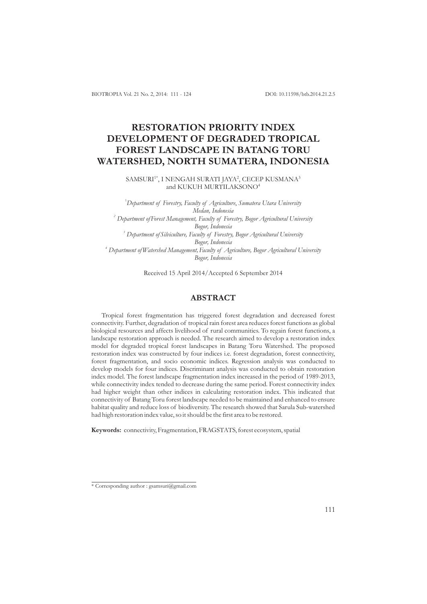DOI: 10.11598/btb.2014.21.2.5

BIOTROPIA Vol. 21 No. 2, 2014: 111 - 124

# **RESTORATION PRIORITY INDEX DEVELOPMENT OF DEGRADED TROPICAL FOREST LANDSCAPE IN BATANG TORU WATERSHED, NORTH SUMATERA, INDONESIA**

 $\mathsf{SAMSURI}^{1*}, \mathsf{I}\ \mathsf{NENGAH}\ \mathsf{SURATI}\ \mathsf{JAYA}^2, \mathsf{CECEP}\ \mathsf{KUSMANA}^3$ and KUKUH MURTILAKSONO 4

<sup>1</sup>Department of Forestry, Faculty of Agriculture, Sumatera Utara University *Medan, Indonesia*

*Department ofForest Management, Faculty of Forestry, Bogor Agricultural University 2 Bogor, Indonesia*

*Department ofSilviculture, Faculty of Forestry, Bogor Agricultural University 3 Bogor, Indonesia*

*Department ofWatershed Management,Faculty of Agriculture, Bogor Agricultural University 4 Bogor, Indonesia*

Received 15 April 2014/Accepted 6 September 2014

## **ABSTRACT**

Tropical forest fragmentation has triggered forest degradation and decreased forest connectivity. Further, degradation of tropical rain forest area reduces forest functions as global biological resources and affects livelihood of rural communities. To regain forest functions, a landscape restoration approach is needed. The research aimed to develop a restoration index model for degraded tropical forest landscapes in Batang Toru Watershed. The proposed restoration index was constructed by four indices i.e. forest degradation, forest connectivity, forest fragmentation, and socio economic indices. Regression analysis was conducted to develop models for four indices. Discriminant analysis was conducted to obtain restoration index model. The forest landscape fragmentation index increased in the period of 1989-2013, while connectivity index tended to decrease during the same period. Forest connectivity index had higher weight than other indices in calculating restoration index. This indicated that connectivity of Batang Toru forest landscape needed to be maintained and enhanced to ensure habitat quality and reduce loss of biodiversity. The research showed that Sarula Sub-watershed had high restoration index value, so it should be the first area to be restored.

Keywords: connectivity, Fragmentation, FRAGSTATS, forest ecosystem, spatial

<sup>\*</sup> Corresponding author : gsamsuri@gmail.com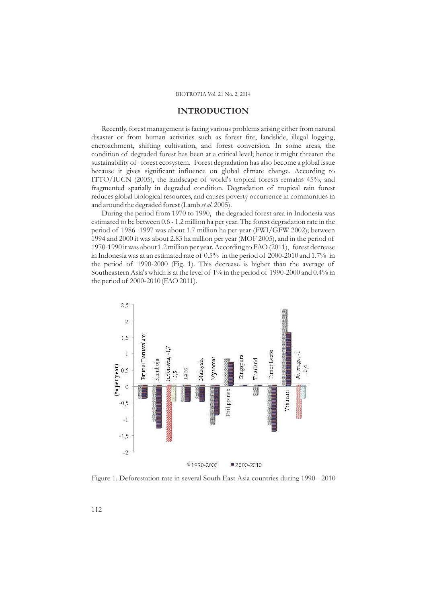## **INTRODUCTION**

Recently, forest management is facing various problems arising either from natural disaster or from human activities such as forest fire, landslide, illegal logging, encroachment, shifting cultivation, and forest conversion. In some areas, the condition of degraded forest has been at a critical level; hence it might threaten the sustainability of forest ecosystem. Forest degradation has also become a global issue because it gives significant influence on global climate change. According to ITTO/IUCN (2005), the landscape of world's tropical forests remains 45%, and fragmented spatially in degraded condition. Degradation of tropical rain forest reduces global biological resources, and causes poverty occurrence in communities in and around the degraded forest (Lamb et al. 2005).

During the period from 1970 to 1990, the degraded forest area in Indonesia was estimated to be between 0.6 - 1.2 million ha per year. The forest degradation rate in the period of 1986 -1997 was about 1.7 million ha per year (FWI/GFW 2002); between 1994 and 2000 it was about 2.83 ha million per year (MOF 2005), and in the period of 1970-1990 it was about 1.2 million per year. According to FAO (2011), forest decrease in Indonesia was at an estimated rate of 0.5% in the period of 2000-2010 and 1.7% in the period of 1990-2000 (Fig. 1). This decrease is higher than the average of Southeastern Asia's which is at the level of 1% in the period of 1990-2000 and 0.4% in the period of 2000-2010 (FAO 2011).



Figure 1. Deforestation rate in several South East Asia countries during 1990 - 2010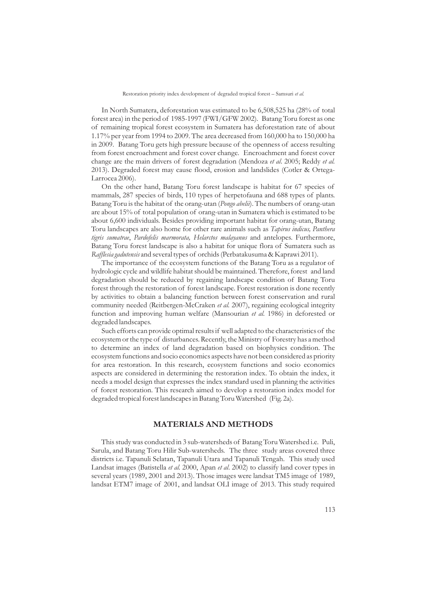Restoration priority index development of degraded tropical forest - Samsuri et al.

In North Sumatera, deforestation was estimated to be 6,508,525 ha (28% of total forest area) in the period of 1985-1997 (FWI/GFW 2002). Batang Toru forest as one of remaining tropical forest ecosystem in Sumatera has deforestation rate of about 1.17% per year from 1994 to 2009. The area decreased from 160,000 ha to 150,000 ha in 2009. Batang Toru gets high pressure because of the openness of access resulting from forest encroachment and forest cover change. Encroachment and forest cover change are the main drivers of forest degradation (Mendoza et al. 2005; Reddy et al. 2013). Degraded forest may cause flood, erosion and landslides (Cotler & Ortega-Larrocea 2006).

On the other hand, Batang Toru forest landscape is habitat for 67 species of mammals, 287 species of birds, 110 types of herpetofauna and 688 types of plants. Batang Toru is the habitat of the orang-utan (Pongo abelii). The numbers of orang-utan are about 15% of total population of orang-utan in Sumatera which is estimated to be about 6,600 individuals. Besides providing important habitat for orang-utan, Batang Toru landscapes are also home for other rare animals such as *Tapirus indicus, Panthera* tigris sumatrae, Pardofelis marmorata, Helarctos malayanus and antelopes. Furthermore, Batang Toru forest landscape is also a habitat for unique flora of Sumatera such as Rafflesia gadutensis and several types of orchids (Perbatakusuma & Kaprawi 2011).

The importance of the ecosystem functions of the Batang Toru as a regulator of hydrologic cycle and wildlife habitat should be maintained. Therefore, forest and land degradation should be reduced by regaining landscape condition of Batang Toru forest through the restoration of forest landscape. Forest restoration is done recently by activities to obtain a balancing function between forest conservation and rural community needed (Reitbergen-McCraken et al. 2007), regaining ecological integrity function and improving human welfare (Mansourian et al. 1986) in deforested or degraded landscapes.

Such efforts can provide optimal results if well adapted to the characteristics of the ecosystem or the type of disturbances. Recently, the Ministry of Forestry has a method to determine an index of land degradation based on biophysics condition. The ecosystem functions and socio economics aspects have not been considered as priority for area restoration. In this research, ecosystem functions and socio economics aspects are considered in determining the restoration index. To obtain the index, it needs a model design that expresses the index standard used in planning the activities of forest restoration. This research aimed to develop a restoration index model for degraded tropical forest landscapes in Batang Toru Watershed (Fig. 2a).

# **MATERIALS AND METHODS**

This study was conducted in 3 sub-watersheds of Batang Toru Watershed i.e. Puli, Sarula, and Batang Toru Hilir Sub-watersheds. The three study areas covered three districts i.e. Tapanuli Selatan, Tapanuli Utara and Tapanuli Tengah. This study used Landsat images (Batistella *et al.* 2000, Apan *et al.* 2002) to classify land cover types in several years (1989, 2001 and 2013). Those images were landsat TM5 image of 1989, landsat ETM7 image of 2001, and landsat OLI image of 2013. This study required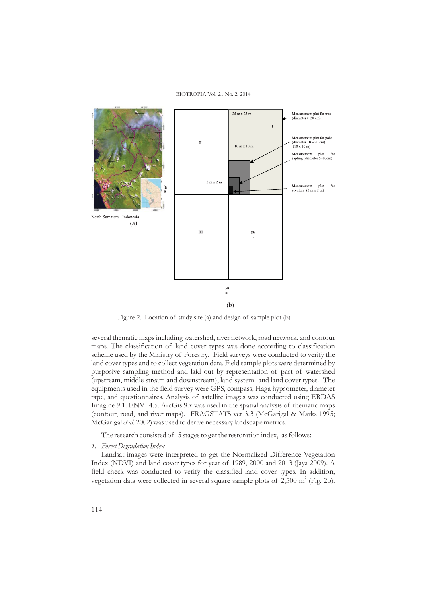

Figure 2. Location of study site (a) and design of sample plot (b)

several thematic maps including watershed, river network, road network, and contour maps. The classification of land cover types was done according to classification scheme used by the Ministry of Forestry. Field surveys were conducted to verify the land cover types and to collect vegetation data. Field sample plots were determined by purposive sampling method and laid out by representation of part of watershed (upstream, middle stream and downstream), land system and land cover types. The equipments used in the field survey were GPS, compass, Haga hypsometer, diameter tape, and questionnaires. Analysis of satellite images was conducted using ERDAS Imagine 9.1. ENVI 4.5. ArcGis 9.x was used in the spatial analysis of thematic maps (contour, road, and river maps). FRAGSTATS ver 3.3 (McGarigal & Marks 1995; McGarigal et al. 2002) was used to derive necessary landscape metrics.

The research consisted of 5 stages to get the restoration index, as follows:

## *1. Forest Degradation Index*

Landsat images were interpreted to get the Normalized Difference Vegetation Index (NDVI) and land cover types for year of 1989, 2000 and 2013 (Jaya 2009). A field check was conducted to verify the classified land cover types. In addition, vegetation data were collected in several square sample plots of 2,500  $m^2$  (Fig. 2b).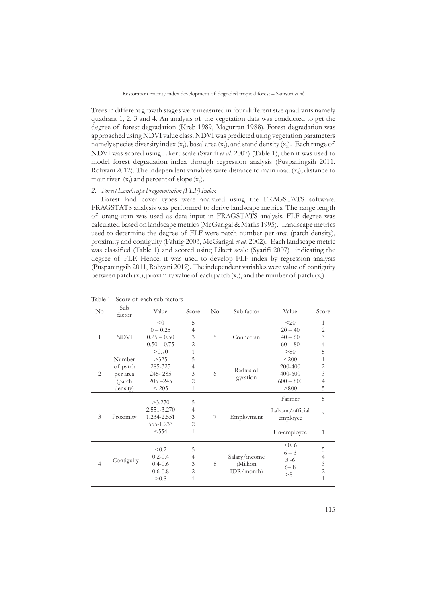Restoration priority index development of degraded tropical forest - Samsuri et al.

Trees in different growth stages were measured in four different size quadrants namely quadrant 1, 2, 3 and 4. An analysis of the vegetation data was conducted to get the degree of forest degradation (Kreb 1989, Magurran 1988). Forest degradation was approached using NDVI value class. NDVI was predicted using vegetation parameters namely species diversity index (x<sub>1</sub>), basal area (x<sub>2</sub>), and stand density (x<sub>3</sub>). Each range of NDVI was scored using Likert scale (Syarifi et al. 2007) (Table 1), then it was used to model forest degradation index through regression analysis (Puspaningsih 2011, Rohyani 2012). The independent variables were distance to main road  $(x_4)$ , distance to main river  $(x_5)$  and percent of slope  $(x_6)$ .

## *2. Forest Landscape Fragmentation (FLF) Index*

Forest land cover types were analyzed using the FRAGSTATS software. FRAGSTATS analysis was performed to derive landscape metrics. The range length of orang-utan was used as data input in FRAGSTATS analysis. FLF degree was calculated based on landscape metrics (McGarigal & Marks 1995). Landscape metrics used to determine the degree of FLF were patch number per area (patch density), proximity and contiguity (Fahrig 2003, McGarigal et al. 2002). Each landscape metric was classified (Table 1) and scored using Likert scale (Syarifi 2007) indicating the degree of FLF. Hence, it was used to develop FLF index by regression analysis (Puspaningsih 2011, Rohyani 2012). The independent variables were value of contiguity between patch  $(x_7)$ , proximity value of each patch  $(x_8)$ , and the number of patch  $(x_9)$ 

| No             | Sub<br>factor | Value         | Score          | $\rm No$ | Sub factor                              | Value           | Score          |
|----------------|---------------|---------------|----------------|----------|-----------------------------------------|-----------------|----------------|
| $\mathbf{1}$   | <b>NDVI</b>   | < 0           | 5              | 5        | Connectan                               | <20             | 1              |
|                |               | $0 - 0.25$    | 4              |          |                                         | $20 - 40$       | $\overline{2}$ |
|                |               | $0.25 - 0.50$ | 3              |          |                                         | $40 - 60$       | $\overline{3}$ |
|                |               | $0.50 - 0.75$ | $\overline{2}$ |          |                                         | $60 - 80$       | $\overline{4}$ |
|                |               | > 0.70        | 1              |          |                                         | > 80            | 5              |
| $\overline{2}$ | Number        | >325          | 5              | 6        | Radius of<br>gyration                   | < 200           | $\mathbf{1}$   |
|                | of patch      | 285-325       | 4              |          |                                         | 200-400         | 2              |
|                | per area      | 245-285       | 3              |          |                                         | 400-600         | $\overline{3}$ |
|                | (patch        | $205 - 245$   | $\overline{2}$ |          |                                         | $600 - 800$     | $\overline{a}$ |
|                | density)      | < 205         | 1              |          |                                         | > 800           | 5              |
| 3              | Proximity     | >3.270        | 5              | 7        | Employment                              | Farmer          | 5              |
|                |               | 2.551-3.270   | 4              |          |                                         | Labour/official | 3              |
|                |               | 1.234-2.551   | 3              |          |                                         | employee        |                |
|                |               | 555-1.233     | $\overline{2}$ |          |                                         |                 |                |
|                |               | < 554         | 1              |          |                                         | Un-employee     | $\mathbf{1}$   |
| $\overline{4}$ | Contiguity    | < 0.2         | 5              | 8        | Salary/income<br>(Million<br>IDR/month) | < 0.6           | 5              |
|                |               | $0.2 - 0.4$   | 4              |          |                                         | $6 - 3$         | $\overline{4}$ |
|                |               | $0.4 - 0.6$   | 3              |          |                                         | $3 - 6$         | $\mathfrak z$  |
|                |               | $0.6 - 0.8$   | $\overline{2}$ |          |                                         | $6 - 8$<br>>8   | $\overline{c}$ |
|                |               | > 0.8         | 1              |          |                                         |                 | $\mathbf{1}$   |

Table 1 Score of each sub factors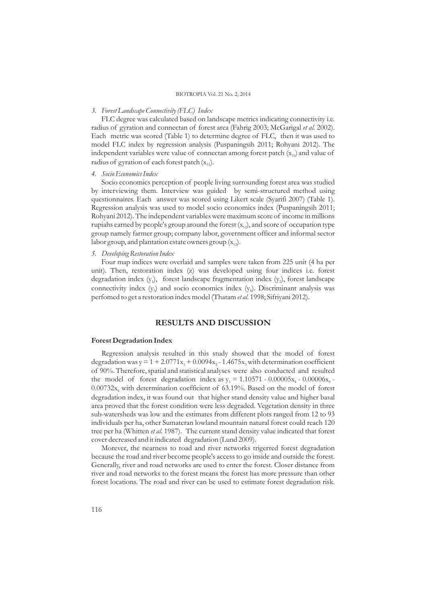### *3. Forest Landscape Connectivity (FLC) Index*

radius of gyration and connectan of forest area (Fahrig 2003; McGarigal et al. 2002). FLC degree was calculated based on landscape metrics indicating connectivity i.e. Each metric was scored (Table 1) to determine degree of FLC, then it was used to model FLC index by regression analysis (Puspaningsih 2011; Rohyani 2012). The independent variables were value of  $\,$  connectan among forest patch  $\rm (x_{\rm 10})$  and value of radius of gyration of each forest patch  $(x_{11})$ .

#### *4. Socio Economics Index*

Socio economics perception of people living surrounding forest area was studied by interviewing them. Interview was guided by semi-structured method using questionnaires. Each answer was scored using Likert scale (Syarifi 2007) (Table 1). Regression analysis was used to model socio economics index (Puspaningsih 2011; Rohyani 2012). The independent variables were maximum score of income in millions rupiahs earned by people's group around the forest  $(\mathrm{x}_{\scriptscriptstyle{12}})$ , and score of occupation type group namely farmer group; company labor, government officer and informal sector labor group, and plantation estate owners group  $(x_{13})$ .

## *5. Developing Restoration Index*

perfomed to get a restoration index model (Thatam et al. 1998; Sifriyani 2012). Four map indices were overlaid and samples were taken from 225 unit (4 ha per unit). Then, restoration index (z) was developed using four indices i.e. forest degradation index  $(y_1)$ , forest landscape fragmentation index  $(y_2)$ , forest landscape connectivity index  $(y_3)$  and socio economics index  $(y_4)$ . Discriminant analysis was

# **RESULTS AND DISCUSSION**

## **Forest Degradation Index**

tree per ha (Whitten *et al*. 1987). The current stand density value indicated that forest Regression analysis resulted in this study showed that the model of forest degradation was  $y = 1 + 2.0771x_1 + 0.0094x_2 - 1.4675x_3$  with determination coefficient of 90%. Therefore, spatial and statistical analyses were also conducted and resulted the model of forest degradation index as  $y_1 = 1.10571 - 0.00005x_4 - 0.00006x_5$  $0.00732x_{6}$  with determination coefficient of 63.19%. Based on the model of forest degradation index, it was found out that higher stand density value and higher basal area proved that the forest condition were less degraded. Vegetation density in three sub-watersheds was low and the estimates from different plots ranged from 12 to 93 individuals per ha, other Sumateran lowland mountain natural forest could reach 120 cover decreased and it indicated degradation (Lund 2009).

Morever, the nearness to road and river networks trigerred forest degradation because the road and river become people's access to go inside and outside the forest. Generally, river and road networks are used to enter the forest. Closer distance from river and road networks to the forest means the forest has more pressure than other forest locations. The road and river can be used to estimate forest degradation risk.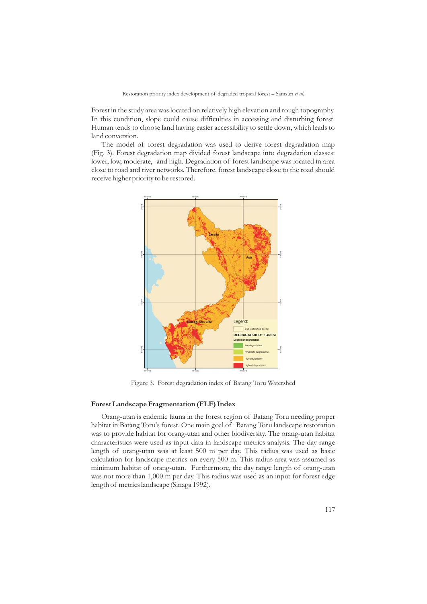Forest in the study area was located on relatively high elevation and rough topography. In this condition, slope could cause difficulties in accessing and disturbing forest. Human tends to choose land having easier accessibility to settle down, which leads to land conversion.

The model of forest degradation was used to derive forest degradation map (Fig. 3). Forest degradation map divided forest landscape into degradation classes: lower, low, moderate, and high. Degradation of forest landscape was located in area close to road and river networks. Therefore, forest landscape close to the road should receive higher priority to be restored.



Figure 3. Forest degradation index of Batang Toru Watershed

## **Forest Landscape Fragmentation (FLF) Index**

Orang-utan is endemic fauna in the forest region of Batang Toru needing proper habitat in Batang Toru's forest. One main goal of Batang Toru landscape restoration was to provide habitat for orang-utan and other biodiversity. The orang-utan habitat characteristics were used as input data in landscape metrics analysis. The day range length of orang-utan was at least 500 m per day. This radius was used as basic calculation for landscape metrics on every 500 m. This radius area was assumed as minimum habitat of orang-utan. Furthermore, the day range length of orang-utan was not more than 1,000 m per day. This radius was used as an input for forest edge length of metrics landscape (Sinaga 1992).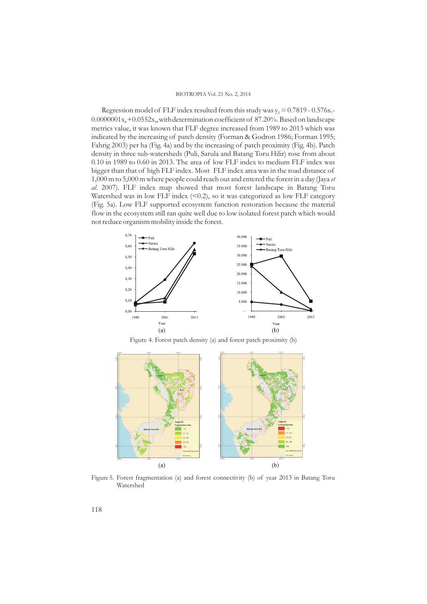Regression model of FLF index resulted from this study was  $y_2 = 0.7819$  -  $0.576x_7$  $0.0000001\mathrm{x_s}$  +  $0.0552\mathrm{x_s}$ , with determination coefficient of 87.20%. Based on landscape metrics value, it was known that FLF degree increased from 1989 to 2013 which was indicated by the increasing of patch density (Forman & Godron 1986; Forman 1995; Fahrig 2003) per ha (Fig. 4a) and by the increasing of patch proximity (Fig. 4b). Patch density in three sub-watersheds (Puli, Sarula and Batang Toru Hilir) rose from about 0.10 in 1989 to 0.60 in 2013. The area of low FLF index to medium FLF index was bigger than that of high FLF index. Most FLF index area was in the road distance of 1,000 m to 5,000 m where people could reach out and entered the forest in a day (Jaya *et* . 2007). FLF index map showed that most forest landscape in Batang Toru *al* Watershed was in low FLF index  $( $0.2$ ), so it was categorized as low FLF category$ (Fig. 5a). Low FLF supported ecosystem function restoration because the material flow in the ecosystem still ran quite well due to low isolated forest patch which would not reduce organism mobility inside the forest.



Figure 4. Forest patch density (a) and forest patch proximity (b)



Figure 5. Forest fragmentation (a) and forest connectivity (b) of year 2013 in Batang Toru Watershed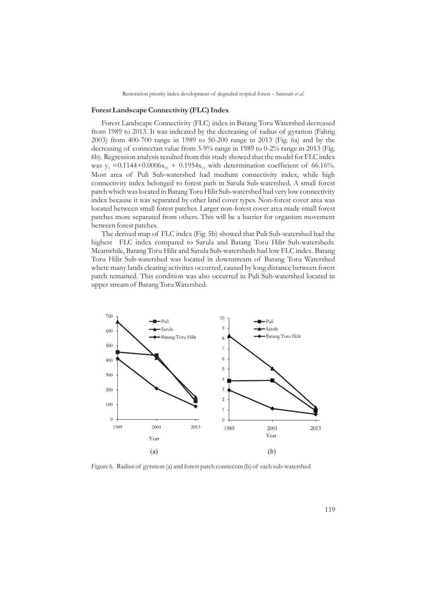Restoration priority index development of degraded tropical forest - Samsuri et al.

#### **Forest Landscape Connectivity (FLC) Index**

Forest Landscape Connectivity (FLC) index in Batang Toru Watershed decreased from 1989 to 2013. It was indicated by the decreasing of radius of gyration (Fahrig 2003) from 400-700 range in 1989 to 50-200 range in 2013 (Fig. 6a) and by the decreasing of connectan value from 3-9% range in 1989 to 0-2% range in 2013 (Fig. 6b). Regression analysis resulted from this study showed that the model for FLC index was  $y_3 = 0.1144 + 0.0006x_{10} + 0.1954x_{11}$  with determination coefficient of 66.16%. Most area of Puli Sub-watershed had medium connectivity index, while high connectivity index belonged to forest path in Sarula Sub-watershed. A small forest patch which was located in Batang Toru Hilir Sub-watershed had very low connectivity index because it was separated by other land cover types. Non-forest cover area was located between small forest patches. Larger non-forest cover area made small forest patches more separated from others. This will be a barrier for organism movement between forest patches.

The derived map of FLC index (Fig. 5b) showed that Puli Sub-watershed had the highest FLC index compared to Sarula and Batang Toru Hilir Sub-watersheds. Meanwhile, Batang Toru Hilir and Sarula Sub-watersheds had low FLC index. Batang Toru Hilir Sub-watershed was located in downstream of Batang Toru Watershed where many lands clearing activities occurred, caused by long distance between forest patch remained. This condition was also occurred in Puli Sub-watershed located in upper stream of Batang Toru Watershed.



Figure 6. Radius of gyration (a) and forest patch connectan (b) of each sub-watershed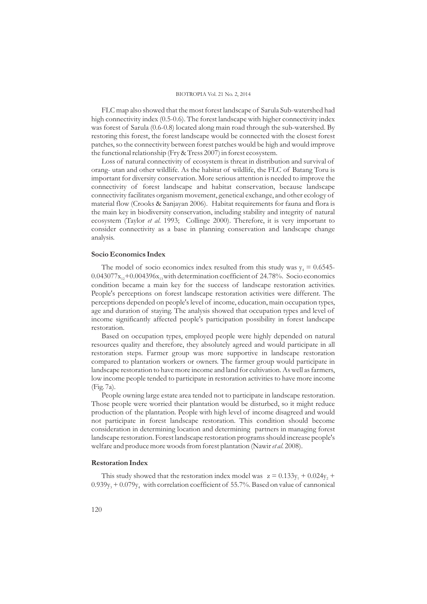FLC map also showed that the most forest landscape of Sarula Sub-watershed had high connectivity index (0.5-0.6). The forest landscape with higher connectivity index was forest of Sarula (0.6-0.8) located along main road through the sub-watershed. By restoring this forest, the forest landscape would be connected with the closest forest patches, so the connectivity between forest patches would be high and would improve the functional relationship (Fry & Tress 2007) in forest ecosystem.

Loss of natural connectivity of ecosystem is threat in distribution and survival of orang- utan and other wildlife. As the habitat of wildlife, the FLC of Batang Toru is important for diversity conservation. More serious attention is needed to improve the connectivity of forest landscape and habitat conservation, because landscape connectivity facilitates organism movement, genetical exchange, and other ecology of material flow (Crooks & Sanjayan 2006). Habitat requirements for fauna and flora is the main key in biodiversity conservation, including stability and integrity of natural ecosystem (Taylor et al. 1993; Collinge 2000). Therefore, it is very important to consider connectivity as a base in planning conservation and landscape change analysis.

## **Socio Economics Index**

The model of socio economics index resulted from this study was  $y_4 = 0.6545$ - $0.043077x_{12}+0.004396x_{13}$  with determination coefficient of 24.78%. Socio economics condition became a main key for the success of landscape restoration activities. People's perceptions on forest landscape restoration activities were different. The perceptions depended on people's level of income, education, main occupation types, age and duration of staying. The analysis showed that occupation types and level of income significantly affected people's participation possibility in forest landscape restoration.

Based on occupation types, employed people were highly depended on natural resources quality and therefore, they absolutely agreed and would participate in all restoration steps. Farmer group was more supportive in landscape restoration compared to plantation workers or owners. The farmer group would participate in landscape restoration to have more income and land for cultivation. As well as farmers, low income people tended to participate in restoration activities to have more income (Fig. 7a).

People owning large estate area tended not to participate in landscape restoration. Those people were worried their plantation would be disturbed, so it might reduce production of the plantation. People with high level of income disagreed and would not participate in forest landscape restoration. This condition should become consideration in determining location and determining partners in managing forest landscape restoration. Forest landscape restoration programs should increase people's welfare and produce more woods from forest plantation (Nawir et al. 2008).

#### **Restoration Index**

This study showed that the restoration index model was  $z = 0.133y_1 + 0.024y_2 +$  $0.939y_3 + 0.079y_4$  with correlation coefficient of 55.7%. Based on value of cannonical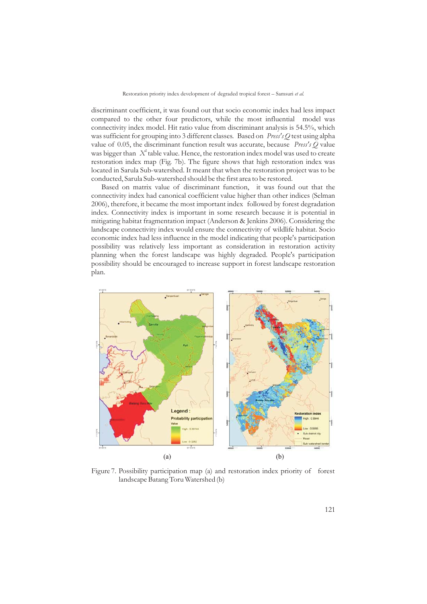discriminant coefficient, it was found out that socio economic index had less impact compared to the other four predictors, while the most influential model was connectivity index model. Hit ratio value from discriminant analysis is 54.5%, which was sufficient for grouping into 3 different classes. Based on Press's Q test using alpha value of 0.05, the discriminant function result was accurate, because Press's Q value was bigger than  $\overline{X}^{\!\!2}$  table value. Hence, the restoration index model was used to create restoration index map (Fig. 7b). The figure shows that high restoration index was located in Sarula Sub-watershed. It meant that when the restoration project was to be conducted, Sarula Sub-watershed should be the first area to be restored.

Based on matrix value of discriminant function, it was found out that the connectivity index had canonical coefficient value higher than other indices (Selman 2006), therefore, it became the most important index followed by forest degradation index. Connectivity index is important in some research because it is potential in mitigating habitat fragmentation impact (Anderson & Jenkins 2006). Considering the landscape connectivity index would ensure the connectivity of wildlife habitat. Socio economic index had less influence in the model indicating that people's participation possibility was relatively less important as consideration in restoration activity planning when the forest landscape was highly degraded. People's participation possibility should be encouraged to increase support in forest landscape restoration plan.



Figure 7. Possibility participation map (a) and restoration index priority of forest landscape Batang Toru Watershed (b)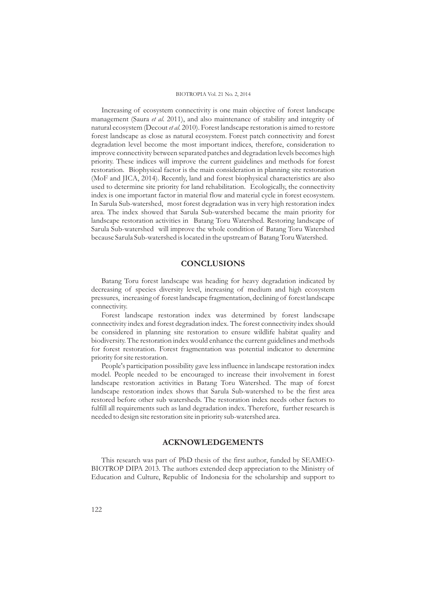management (Saura et al. 2011), and also maintenance of stability and integrity of natural ecosystem (Decout et al. 2010). Forest landscape restoration is aimed to restore Increasing of ecosystem connectivity is one main objective of forest landscape forest landscape as close as natural ecosystem. Forest patch connectivity and forest degradation level become the most important indices, therefore, consideration to improve connectivity between separated patches and degradation levels becomes high priority. These indices will improve the current guidelines and methods for forest restoration. Biophysical factor is the main consideration in planning site restoration (MoF and JICA, 2014). Recently, land and forest biophysical characteristics are also used to determine site priority for land rehabilitation. Ecologically, the connectivity index is one important factor in material flow and material cycle in forest ecosystem. In Sarula Sub-watershed, most forest degradation was in very high restoration index area. The index showed that Sarula Sub-watershed became the main priority for landscape restoration activities in Batang Toru Watershed. Restoring landscape of Sarula Sub-watershed will improve the whole condition of Batang Toru Watershed because Sarula Sub-watershed is located in the upstream of Batang Toru Watershed.

# **CONCLUSIONS**

Batang Toru forest landscape was heading for heavy degradation indicated by decreasing of species diversity level, increasing of medium and high ecosystem pressures, increasing of forest landscape fragmentation, declining of forest landscape connectivity.

Forest landscape restoration index was determined by forest landscsape connectivity index and forest degradation index. The forest connectivity index should be considered in planning site restoration to ensure wildlife habitat quality and biodiversity. The restoration index would enhance the current guidelines and methods for forest restoration. Forest fragmentation was potential indicator to determine priority for site restoration.

People's participation possibility gave less influence in landscape restoration index model. People needed to be encouraged to increase their involvement in forest landscape restoration activities in Batang Toru Watershed. The map of forest landscape restoration index shows that Sarula Sub-watershed to be the first area restored before other sub watersheds. The restoration index needs other factors to fulfill all requirements such as land degradation index. Therefore, further research is needed to design site restoration site in priority sub-watershed area.

# **ACKNOWLEDGEMENTS**

This research was part of PhD thesis of the first author, funded by SEAMEO-BIOTROP DIPA 2013. The authors extended deep appreciation to the Ministry of Education and Culture, Republic of Indonesia for the scholarship and support to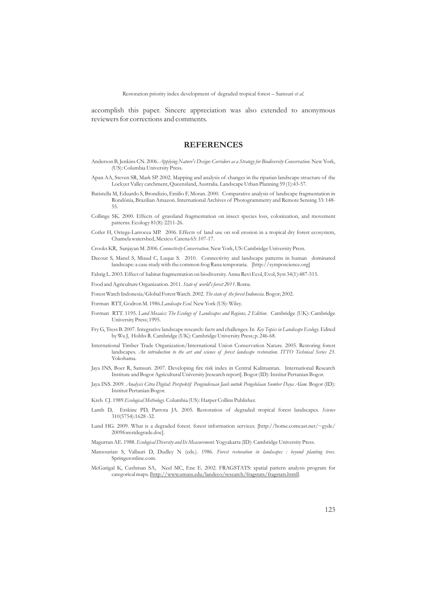accomplish this paper. Sincere appreciation was also extended to anonymous reviewers for corrections and comments.

# **REFERENCES**

- Anderson B, Jenkins CN. 2006. *Applying Nature's Design: Corridors as a Strategy for Biodiversity Conservation*. New York, (US): Columbia University Press.
- Apan AA, Steven SR, Mark SP. 2002. Mapping and analysis of changes in the riparian landscape structure of the Lockyer Valley catchment, Queensland, Australia. Landscape Urban Planning 59 (1):43-57.
- Batistella M, Eduardo S, Brondizio, Emilio F, Moran. 2000. Comparative analysis of landscape fragmentation in Rondônia, Brazilian Amazon. International Archives of Photogrammetry and Remote Sensing 33: 148- 55.
- Collinge SK. 2000. Effects of grassland fragmentation on insect species loss, colonization, and movement patterns. Ecology 81(8): 2211-26.
- Cotler H, Ortega-Larrocea MP. 2006. Effects of land use on soil erosion in a tropical dry forest ecosystem, Chamela watershed, Mexico. Catena 65: 107-17.
- Crooks KR, Sanjayan M. 2006. Connectivity Conservation. New York, US: Cambridge University Press.
- Decout S, Manel S, Miaud C, Luque S. 2010. Connectivity and landscape patterns in human dominated landscape: a case study with the common frog Rana temporaria. [http://symposcience.org]
- Fahrig L. 2003. Effect of habitat fragmentation on biodiversity. Annu Revi Ecol, Evol, Syst 34(1):487-515.
- Food and Agriculture Organization. 2011. State of world's forest 2011. Rome.
- Forest Watch Indonesia/Global Forest Watch. 2002. The state of the forest Indonesia. Bogor; 2002.
- Forman RTT, Godron M. 1986. Landscape Ecol. New York (US): Wiley.
- Forman RTT. 1195. *Land Mosaics: The Ecology of Landscapes and* Regions, 2 Edition. Cambridge (UK): Cambridge University Press; 1995.
- Fry G, Tress B. 2007. Integrative landscape research: facts and challenges. In *Key Topics in Landscape Ecology.* Edited by Wu J, Hobbs R. Cambridge (UK): Cambridge University Press; p. 246-68.
- International Timber Trade Organization/International Union Conservation Nature. 2005. Restoring forest landscapes. An introduction to the art and science of forest landscape restoration. ITTO Technical Series 23. Yokohama.
- Jaya INS, Boer R, Samsuri. 2007. Developing fire risk index in Central Kalimantan. International Research Institute and Bogor Agricultural University [research report]. Bogor (ID): Institut Pertanian Bogor.
- Jaya INS. 2009. *Analysis Citra Digital: Perspektif Penginderaan Jauh untuk Pengelolaan Sumber Daya Alam.* Bogor (ID): Institut Pertanian Bogor.
- Kreb CJ. 1989. Ecological Methology. Columbia (US): Harper Collins Publisher.
- Lamb D, Erskine PD, Parrota JA. 2005. Restoration of degraded tropical forest landscapes. *Science* 310(5754):1628 -32.
- Lund HG. 2009. What is a degraded forest. forest information services. [http://home.comcast.net/~gyde/ 2009forestdegrade.doc].
- Magurran AE. 1988. *Ecological Diversity and Its Measurement*. Yogyakarta (ID): Cambridge University Press.
- Mansourian S, Vallauri D, Dudley N (eds.). 1986. *Forest restoration in landscapes : beyond planting trees*. Springeronline.com.
- McGarigal K, Cushman SA, Neel MC, Ene E. 2002. FRAGSTATS: spatial pattern analysis program for categorical maps. [http://www.umass.edu/landeco/research/fragstats/fragstats.html].